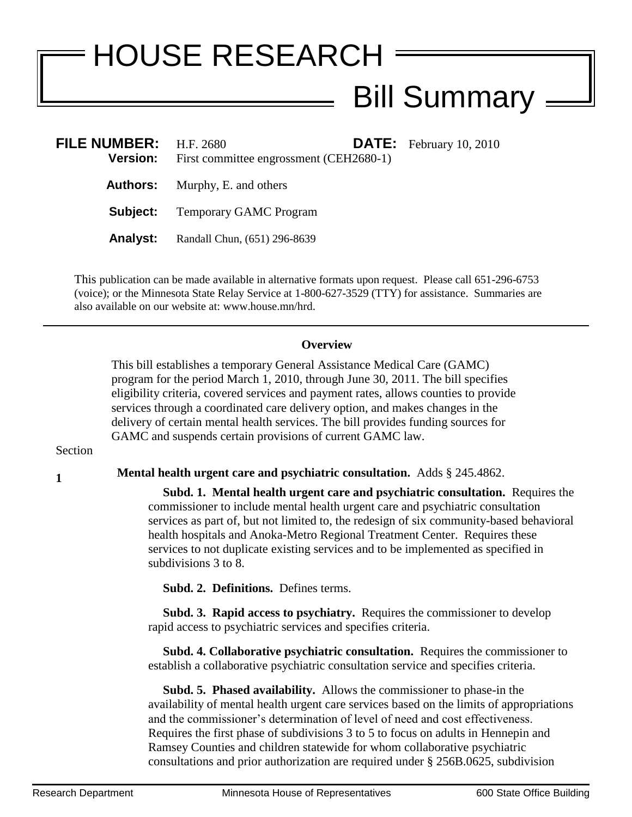## HOUSE RESEARCH Bill Summary =

| FILE NUMBER: $H.F. 2680$ | <b>Version:</b> First committee engrossment (CEH2680-1) | <b>DATE:</b> February 10, 2010 |
|--------------------------|---------------------------------------------------------|--------------------------------|
|                          | <b>Authors:</b> Murphy, E. and others                   |                                |
|                          | <b>Subject:</b> Temporary GAMC Program                  |                                |
| <b>Analyst:</b>          | Randall Chun, (651) 296-8639                            |                                |

This publication can be made available in alternative formats upon request. Please call 651-296-6753 (voice); or the Minnesota State Relay Service at 1-800-627-3529 (TTY) for assistance. Summaries are also available on our website at: www.house.mn/hrd.

## **Overview**

This bill establishes a temporary General Assistance Medical Care (GAMC) program for the period March 1, 2010, through June 30, 2011. The bill specifies eligibility criteria, covered services and payment rates, allows counties to provide services through a coordinated care delivery option, and makes changes in the delivery of certain mental health services. The bill provides funding sources for GAMC and suspends certain provisions of current GAMC law.

## **Section**

**<sup>1</sup> Mental health urgent care and psychiatric consultation.** Adds § 245.4862.

 **Subd. 1. Mental health urgent care and psychiatric consultation.** Requires the commissioner to include mental health urgent care and psychiatric consultation services as part of, but not limited to, the redesign of six community-based behavioral health hospitals and Anoka-Metro Regional Treatment Center. Requires these services to not duplicate existing services and to be implemented as specified in subdivisions 3 to 8.

**Subd. 2. Definitions.** Defines terms.

 **Subd. 3. Rapid access to psychiatry.** Requires the commissioner to develop rapid access to psychiatric services and specifies criteria.

 **Subd. 4. Collaborative psychiatric consultation.** Requires the commissioner to establish a collaborative psychiatric consultation service and specifies criteria.

 **Subd. 5. Phased availability.** Allows the commissioner to phase-in the availability of mental health urgent care services based on the limits of appropriations and the commissioner's determination of level of need and cost effectiveness. Requires the first phase of subdivisions 3 to 5 to focus on adults in Hennepin and Ramsey Counties and children statewide for whom collaborative psychiatric consultations and prior authorization are required under § 256B.0625, subdivision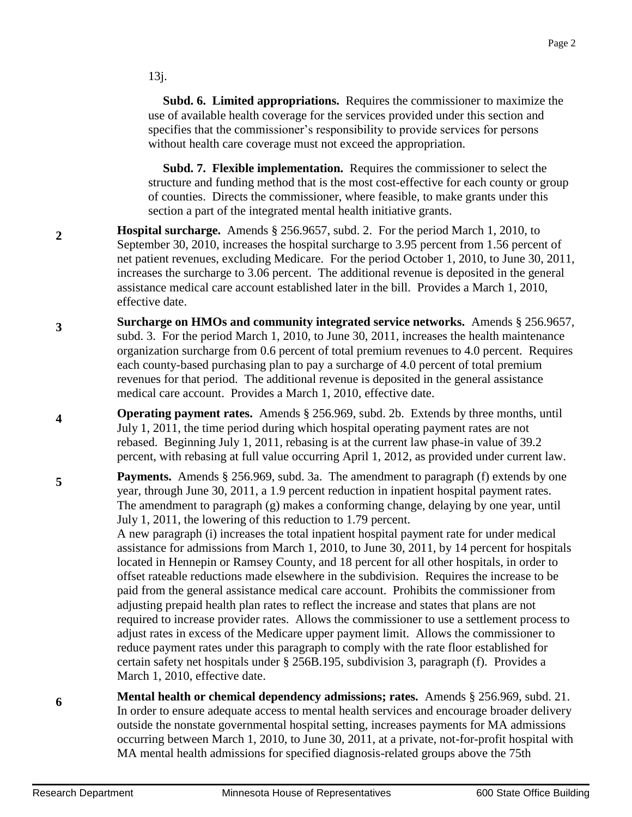13j.

 **Subd. 6. Limited appropriations.** Requires the commissioner to maximize the use of available health coverage for the services provided under this section and specifies that the commissioner's responsibility to provide services for persons without health care coverage must not exceed the appropriation.

 **Subd. 7. Flexible implementation.** Requires the commissioner to select the structure and funding method that is the most cost-effective for each county or group of counties. Directs the commissioner, where feasible, to make grants under this section a part of the integrated mental health initiative grants.

- **2 Hospital surcharge.** Amends § 256.9657, subd. 2. For the period March 1, 2010, to September 30, 2010, increases the hospital surcharge to 3.95 percent from 1.56 percent of net patient revenues, excluding Medicare. For the period October 1, 2010, to June 30, 2011, increases the surcharge to 3.06 percent. The additional revenue is deposited in the general assistance medical care account established later in the bill. Provides a March 1, 2010, effective date.
- **3 Surcharge on HMOs and community integrated service networks.** Amends § 256.9657, subd. 3. For the period March 1, 2010, to June 30, 2011, increases the health maintenance organization surcharge from 0.6 percent of total premium revenues to 4.0 percent. Requires each county-based purchasing plan to pay a surcharge of 4.0 percent of total premium revenues for that period. The additional revenue is deposited in the general assistance medical care account. Provides a March 1, 2010, effective date.
- **4 Operating payment rates.** Amends § 256.969, subd. 2b. Extends by three months, until July 1, 2011, the time period during which hospital operating payment rates are not rebased. Beginning July 1, 2011, rebasing is at the current law phase-in value of 39.2 percent, with rebasing at full value occurring April 1, 2012, as provided under current law.
- **5 Payments.** Amends § 256.969, subd. 3a. The amendment to paragraph (f) extends by one year, through June 30, 2011, a 1.9 percent reduction in inpatient hospital payment rates. The amendment to paragraph (g) makes a conforming change, delaying by one year, until July 1, 2011, the lowering of this reduction to 1.79 percent.

A new paragraph (i) increases the total inpatient hospital payment rate for under medical assistance for admissions from March 1, 2010, to June 30, 2011, by 14 percent for hospitals located in Hennepin or Ramsey County, and 18 percent for all other hospitals, in order to offset rateable reductions made elsewhere in the subdivision. Requires the increase to be paid from the general assistance medical care account. Prohibits the commissioner from adjusting prepaid health plan rates to reflect the increase and states that plans are not required to increase provider rates. Allows the commissioner to use a settlement process to adjust rates in excess of the Medicare upper payment limit. Allows the commissioner to reduce payment rates under this paragraph to comply with the rate floor established for certain safety net hospitals under § 256B.195, subdivision 3, paragraph (f). Provides a March 1, 2010, effective date.

**6 Mental health or chemical dependency admissions; rates.** Amends § 256.969, subd. 21. In order to ensure adequate access to mental health services and encourage broader delivery outside the nonstate governmental hospital setting, increases payments for MA admissions occurring between March 1, 2010, to June 30, 2011, at a private, not-for-profit hospital with MA mental health admissions for specified diagnosis-related groups above the 75th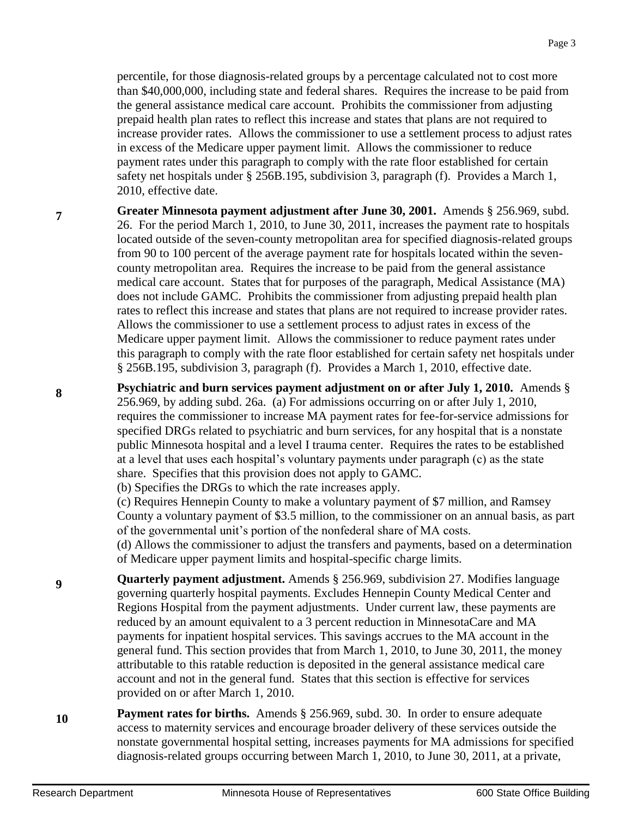percentile, for those diagnosis-related groups by a percentage calculated not to cost more than \$40,000,000, including state and federal shares. Requires the increase to be paid from the general assistance medical care account. Prohibits the commissioner from adjusting prepaid health plan rates to reflect this increase and states that plans are not required to increase provider rates. Allows the commissioner to use a settlement process to adjust rates in excess of the Medicare upper payment limit. Allows the commissioner to reduce payment rates under this paragraph to comply with the rate floor established for certain safety net hospitals under § 256B.195, subdivision 3, paragraph (f). Provides a March 1, 2010, effective date.

**Greater Minnesota payment adjustment after June 30, 2001.** Amends § 256.969, subd. 26. For the period March 1, 2010, to June 30, 2011, increases the payment rate to hospitals located outside of the seven-county metropolitan area for specified diagnosis-related groups from 90 to 100 percent of the average payment rate for hospitals located within the sevencounty metropolitan area. Requires the increase to be paid from the general assistance medical care account. States that for purposes of the paragraph, Medical Assistance (MA) does not include GAMC. Prohibits the commissioner from adjusting prepaid health plan rates to reflect this increase and states that plans are not required to increase provider rates. Allows the commissioner to use a settlement process to adjust rates in excess of the Medicare upper payment limit. Allows the commissioner to reduce payment rates under this paragraph to comply with the rate floor established for certain safety net hospitals under § 256B.195, subdivision 3, paragraph (f). Provides a March 1, 2010, effective date.

**Psychiatric and burn services payment adjustment on or after July 1, 2010.** Amends § 256.969, by adding subd. 26a. (a) For admissions occurring on or after July 1, 2010, requires the commissioner to increase MA payment rates for fee-for-service admissions for specified DRGs related to psychiatric and burn services, for any hospital that is a nonstate public Minnesota hospital and a level I trauma center. Requires the rates to be established at a level that uses each hospital's voluntary payments under paragraph (c) as the state share. Specifies that this provision does not apply to GAMC.

(b) Specifies the DRGs to which the rate increases apply.

(c) Requires Hennepin County to make a voluntary payment of \$7 million, and Ramsey County a voluntary payment of \$3.5 million, to the commissioner on an annual basis, as part of the governmental unit's portion of the nonfederal share of MA costs.

(d) Allows the commissioner to adjust the transfers and payments, based on a determination of Medicare upper payment limits and hospital-specific charge limits.

**Quarterly payment adjustment.** Amends § 256.969, subdivision 27. Modifies language governing quarterly hospital payments. Excludes Hennepin County Medical Center and Regions Hospital from the payment adjustments. Under current law, these payments are reduced by an amount equivalent to a 3 percent reduction in MinnesotaCare and MA payments for inpatient hospital services. This savings accrues to the MA account in the general fund. This section provides that from March 1, 2010, to June 30, 2011, the money attributable to this ratable reduction is deposited in the general assistance medical care account and not in the general fund. States that this section is effective for services provided on or after March 1, 2010.

**10 Payment rates for births.** Amends § 256.969, subd. 30. In order to ensure adequate access to maternity services and encourage broader delivery of these services outside the nonstate governmental hospital setting, increases payments for MA admissions for specified diagnosis-related groups occurring between March 1, 2010, to June 30, 2011, at a private,

**7**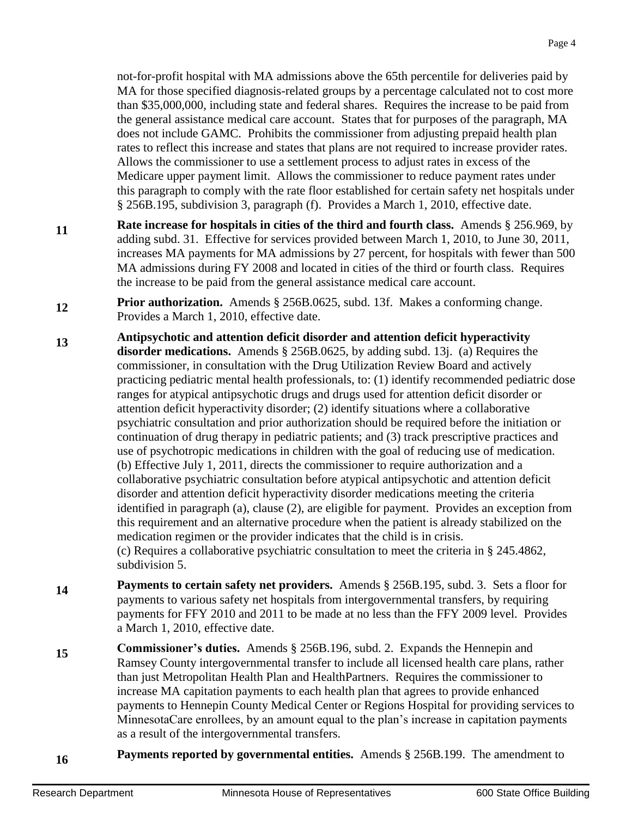not-for-profit hospital with MA admissions above the 65th percentile for deliveries paid by MA for those specified diagnosis-related groups by a percentage calculated not to cost more than \$35,000,000, including state and federal shares. Requires the increase to be paid from the general assistance medical care account. States that for purposes of the paragraph, MA does not include GAMC. Prohibits the commissioner from adjusting prepaid health plan rates to reflect this increase and states that plans are not required to increase provider rates. Allows the commissioner to use a settlement process to adjust rates in excess of the Medicare upper payment limit. Allows the commissioner to reduce payment rates under this paragraph to comply with the rate floor established for certain safety net hospitals under § 256B.195, subdivision 3, paragraph (f). Provides a March 1, 2010, effective date.

- **11 Rate increase for hospitals in cities of the third and fourth class.** Amends § 256.969, by adding subd. 31. Effective for services provided between March 1, 2010, to June 30, 2011, increases MA payments for MA admissions by 27 percent, for hospitals with fewer than 500 MA admissions during FY 2008 and located in cities of the third or fourth class. Requires the increase to be paid from the general assistance medical care account.
- **12 Prior authorization.** Amends § 256B.0625, subd. 13f. Makes a conforming change. Provides a March 1, 2010, effective date.
- **13 Antipsychotic and attention deficit disorder and attention deficit hyperactivity disorder medications.** Amends § 256B.0625, by adding subd. 13j. (a) Requires the commissioner, in consultation with the Drug Utilization Review Board and actively practicing pediatric mental health professionals, to: (1) identify recommended pediatric dose ranges for atypical antipsychotic drugs and drugs used for attention deficit disorder or attention deficit hyperactivity disorder; (2) identify situations where a collaborative psychiatric consultation and prior authorization should be required before the initiation or continuation of drug therapy in pediatric patients; and (3) track prescriptive practices and use of psychotropic medications in children with the goal of reducing use of medication. (b) Effective July 1, 2011, directs the commissioner to require authorization and a collaborative psychiatric consultation before atypical antipsychotic and attention deficit disorder and attention deficit hyperactivity disorder medications meeting the criteria identified in paragraph (a), clause (2), are eligible for payment. Provides an exception from this requirement and an alternative procedure when the patient is already stabilized on the medication regimen or the provider indicates that the child is in crisis. (c) Requires a collaborative psychiatric consultation to meet the criteria in § 245.4862, subdivision 5.
- **14 Payments to certain safety net providers.** Amends § 256B.195, subd. 3. Sets a floor for payments to various safety net hospitals from intergovernmental transfers, by requiring payments for FFY 2010 and 2011 to be made at no less than the FFY 2009 level. Provides a March 1, 2010, effective date.

**15 Commissioner's duties.** Amends § 256B.196, subd. 2. Expands the Hennepin and Ramsey County intergovernmental transfer to include all licensed health care plans, rather than just Metropolitan Health Plan and HealthPartners. Requires the commissioner to increase MA capitation payments to each health plan that agrees to provide enhanced payments to Hennepin County Medical Center or Regions Hospital for providing services to MinnesotaCare enrollees, by an amount equal to the plan's increase in capitation payments as a result of the intergovernmental transfers.

**16 Payments reported by governmental entities.** Amends § 256B.199. The amendment to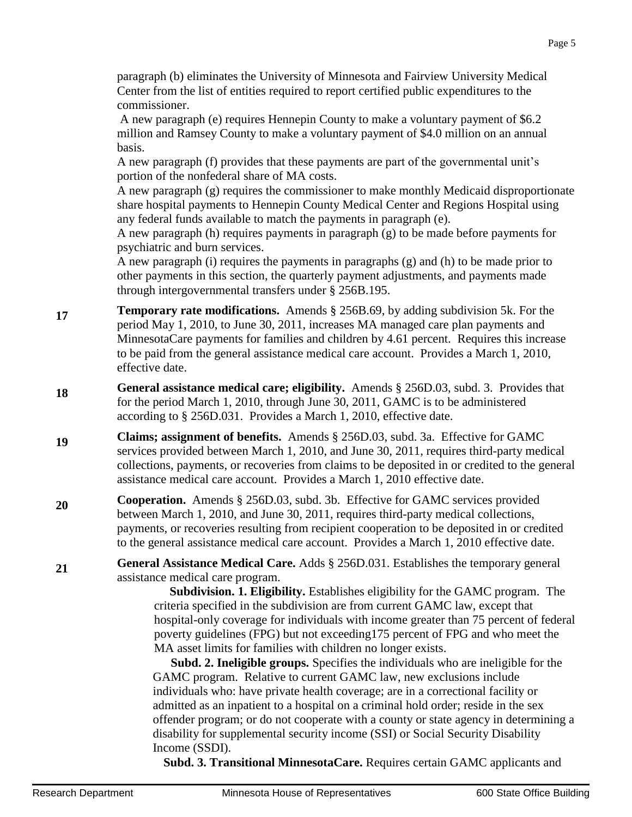paragraph (b) eliminates the University of Minnesota and Fairview University Medical Center from the list of entities required to report certified public expenditures to the commissioner.

A new paragraph (e) requires Hennepin County to make a voluntary payment of \$6.2 million and Ramsey County to make a voluntary payment of \$4.0 million on an annual basis.

A new paragraph (f) provides that these payments are part of the governmental unit's portion of the nonfederal share of MA costs.

A new paragraph (g) requires the commissioner to make monthly Medicaid disproportionate share hospital payments to Hennepin County Medical Center and Regions Hospital using any federal funds available to match the payments in paragraph (e).

A new paragraph (h) requires payments in paragraph (g) to be made before payments for psychiatric and burn services.

A new paragraph (i) requires the payments in paragraphs (g) and (h) to be made prior to other payments in this section, the quarterly payment adjustments, and payments made through intergovernmental transfers under § 256B.195.

- **17 Temporary rate modifications.** Amends § 256B.69, by adding subdivision 5k. For the period May 1, 2010, to June 30, 2011, increases MA managed care plan payments and MinnesotaCare payments for families and children by 4.61 percent. Requires this increase to be paid from the general assistance medical care account. Provides a March 1, 2010, effective date.
- **18 General assistance medical care; eligibility.** Amends § 256D.03, subd. 3. Provides that for the period March 1, 2010, through June 30, 2011, GAMC is to be administered according to § 256D.031. Provides a March 1, 2010, effective date.
- **19 Claims; assignment of benefits.** Amends § 256D.03, subd. 3a. Effective for GAMC services provided between March 1, 2010, and June 30, 2011, requires third-party medical collections, payments, or recoveries from claims to be deposited in or credited to the general assistance medical care account. Provides a March 1, 2010 effective date.
- **20 Cooperation.** Amends § 256D.03, subd. 3b. Effective for GAMC services provided between March 1, 2010, and June 30, 2011, requires third-party medical collections, payments, or recoveries resulting from recipient cooperation to be deposited in or credited to the general assistance medical care account. Provides a March 1, 2010 effective date.

**21 General Assistance Medical Care.** Adds § 256D.031. Establishes the temporary general assistance medical care program.

 **Subdivision. 1. Eligibility.** Establishes eligibility for the GAMC program. The criteria specified in the subdivision are from current GAMC law, except that hospital-only coverage for individuals with income greater than 75 percent of federal poverty guidelines (FPG) but not exceeding175 percent of FPG and who meet the MA asset limits for families with children no longer exists.

 **Subd. 2. Ineligible groups.** Specifies the individuals who are ineligible for the GAMC program. Relative to current GAMC law, new exclusions include individuals who: have private health coverage; are in a correctional facility or admitted as an inpatient to a hospital on a criminal hold order; reside in the sex offender program; or do not cooperate with a county or state agency in determining a disability for supplemental security income (SSI) or Social Security Disability Income (SSDI).

**Subd. 3. Transitional MinnesotaCare.** Requires certain GAMC applicants and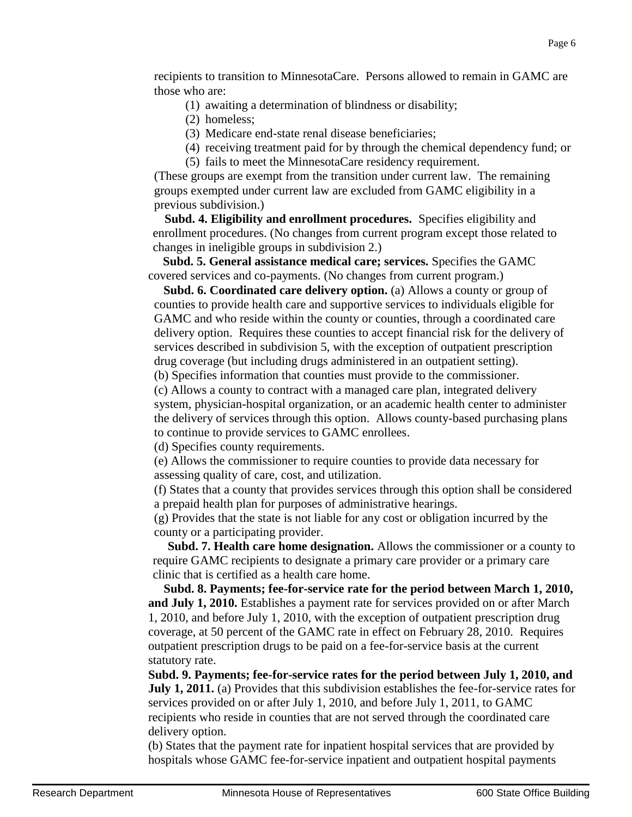recipients to transition to MinnesotaCare. Persons allowed to remain in GAMC are those who are:

- (1) awaiting a determination of blindness or disability;
- (2) homeless;
- (3) Medicare end-state renal disease beneficiaries;
- (4) receiving treatment paid for by through the chemical dependency fund; or
- (5) fails to meet the MinnesotaCare residency requirement.

(These groups are exempt from the transition under current law. The remaining groups exempted under current law are excluded from GAMC eligibility in a previous subdivision.)

 **Subd. 4. Eligibility and enrollment procedures.** Specifies eligibility and enrollment procedures. (No changes from current program except those related to changes in ineligible groups in subdivision 2.)

 **Subd. 5. General assistance medical care; services.** Specifies the GAMC covered services and co-payments. (No changes from current program.)

 **Subd. 6. Coordinated care delivery option.** (a) Allows a county or group of counties to provide health care and supportive services to individuals eligible for GAMC and who reside within the county or counties, through a coordinated care delivery option. Requires these counties to accept financial risk for the delivery of services described in subdivision 5, with the exception of outpatient prescription drug coverage (but including drugs administered in an outpatient setting).

(b) Specifies information that counties must provide to the commissioner.

(c) Allows a county to contract with a managed care plan, integrated delivery system, physician-hospital organization, or an academic health center to administer the delivery of services through this option. Allows county-based purchasing plans to continue to provide services to GAMC enrollees.

(d) Specifies county requirements.

(e) Allows the commissioner to require counties to provide data necessary for assessing quality of care, cost, and utilization.

(f) States that a county that provides services through this option shall be considered a prepaid health plan for purposes of administrative hearings.

(g) Provides that the state is not liable for any cost or obligation incurred by the county or a participating provider.

 **Subd. 7. Health care home designation.** Allows the commissioner or a county to require GAMC recipients to designate a primary care provider or a primary care clinic that is certified as a health care home.

 **Subd. 8. Payments; fee-for-service rate for the period between March 1, 2010, and July 1, 2010.** Establishes a payment rate for services provided on or after March 1, 2010, and before July 1, 2010, with the exception of outpatient prescription drug coverage, at 50 percent of the GAMC rate in effect on February 28, 2010. Requires outpatient prescription drugs to be paid on a fee-for-service basis at the current statutory rate.

**Subd. 9. Payments; fee-for-service rates for the period between July 1, 2010, and July 1, 2011.** (a) Provides that this subdivision establishes the fee-for-service rates for services provided on or after July 1, 2010, and before July 1, 2011, to GAMC recipients who reside in counties that are not served through the coordinated care delivery option.

(b) States that the payment rate for inpatient hospital services that are provided by hospitals whose GAMC fee-for-service inpatient and outpatient hospital payments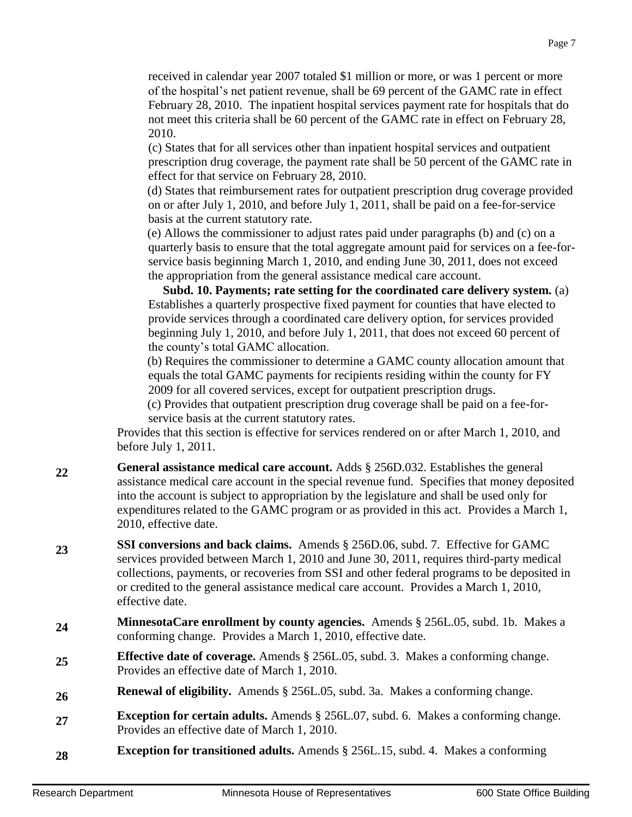received in calendar year 2007 totaled \$1 million or more, or was 1 percent or more of the hospital's net patient revenue, shall be 69 percent of the GAMC rate in effect February 28, 2010. The inpatient hospital services payment rate for hospitals that do not meet this criteria shall be 60 percent of the GAMC rate in effect on February 28, 2010.

(c) States that for all services other than inpatient hospital services and outpatient prescription drug coverage, the payment rate shall be 50 percent of the GAMC rate in effect for that service on February 28, 2010.

(d) States that reimbursement rates for outpatient prescription drug coverage provided on or after July 1, 2010, and before July 1, 2011, shall be paid on a fee-for-service basis at the current statutory rate.

(e) Allows the commissioner to adjust rates paid under paragraphs (b) and (c) on a quarterly basis to ensure that the total aggregate amount paid for services on a fee-forservice basis beginning March 1, 2010, and ending June 30, 2011, does not exceed the appropriation from the general assistance medical care account.

 **Subd. 10. Payments; rate setting for the coordinated care delivery system.** (a) Establishes a quarterly prospective fixed payment for counties that have elected to provide services through a coordinated care delivery option, for services provided beginning July 1, 2010, and before July 1, 2011, that does not exceed 60 percent of the county's total GAMC allocation.

(b) Requires the commissioner to determine a GAMC county allocation amount that equals the total GAMC payments for recipients residing within the county for FY 2009 for all covered services, except for outpatient prescription drugs.

(c) Provides that outpatient prescription drug coverage shall be paid on a fee-forservice basis at the current statutory rates.

Provides that this section is effective for services rendered on or after March 1, 2010, and before July 1, 2011.

**22 General assistance medical care account.** Adds § 256D.032. Establishes the general assistance medical care account in the special revenue fund. Specifies that money deposited into the account is subject to appropriation by the legislature and shall be used only for expenditures related to the GAMC program or as provided in this act. Provides a March 1, 2010, effective date.

**23 SSI conversions and back claims.** Amends § 256D.06, subd. 7. Effective for GAMC services provided between March 1, 2010 and June 30, 2011, requires third-party medical collections, payments, or recoveries from SSI and other federal programs to be deposited in or credited to the general assistance medical care account. Provides a March 1, 2010, effective date.

- **<sup>24</sup> MinnesotaCare enrollment by county agencies.** Amends § 256L.05, subd. 1b. Makes a conforming change. Provides a March 1, 2010, effective date.
- **25 Effective date of coverage.** Amends § 256L.05, subd. 3. Makes a conforming change. Provides an effective date of March 1, 2010.
- **26 Renewal of eligibility.** Amends § 256L.05, subd. 3a. Makes a conforming change.
- **27 Exception for certain adults.** Amends § 256L.07, subd. 6. Makes a conforming change. Provides an effective date of March 1, 2010.
- **28 Exception for transitioned adults.** Amends § 256L.15, subd. 4. Makes a conforming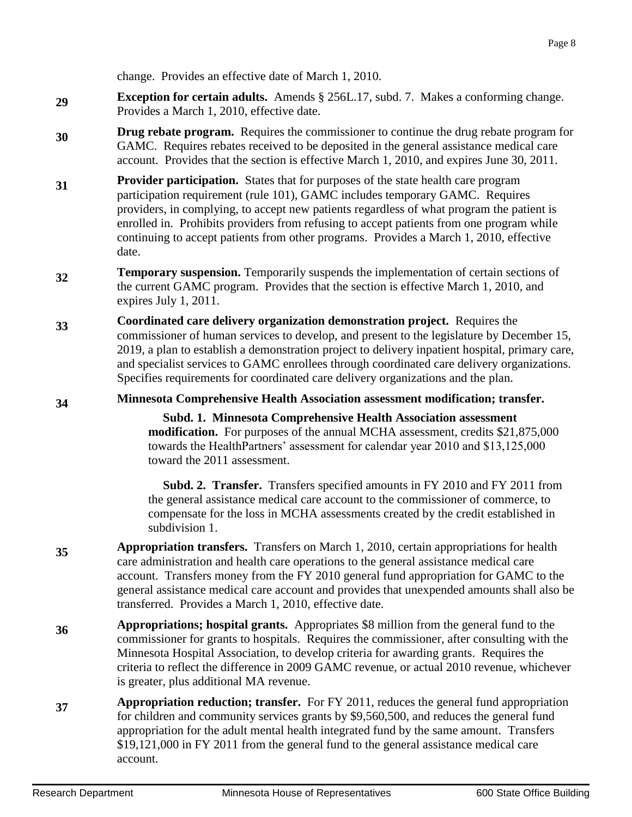change. Provides an effective date of March 1, 2010.

- **29 Exception for certain adults.** Amends § 256L.17, subd. 7. Makes a conforming change. Provides a March 1, 2010, effective date.
- **30 Drug rebate program.** Requires the commissioner to continue the drug rebate program for GAMC. Requires rebates received to be deposited in the general assistance medical care account. Provides that the section is effective March 1, 2010, and expires June 30, 2011.
- **31 Provider participation.** States that for purposes of the state health care program participation requirement (rule 101), GAMC includes temporary GAMC. Requires providers, in complying, to accept new patients regardless of what program the patient is enrolled in. Prohibits providers from refusing to accept patients from one program while continuing to accept patients from other programs. Provides a March 1, 2010, effective date.
- **32 Temporary suspension.** Temporarily suspends the implementation of certain sections of the current GAMC program. Provides that the section is effective March 1, 2010, and expires July 1, 2011.
- **33 Coordinated care delivery organization demonstration project.** Requires the commissioner of human services to develop, and present to the legislature by December 15, 2019, a plan to establish a demonstration project to delivery inpatient hospital, primary care, and specialist services to GAMC enrollees through coordinated care delivery organizations. Specifies requirements for coordinated care delivery organizations and the plan.

**34 Minnesota Comprehensive Health Association assessment modification; transfer.**

 **Subd. 1. Minnesota Comprehensive Health Association assessment modification.** For purposes of the annual MCHA assessment, credits \$21,875,000 towards the HealthPartners' assessment for calendar year 2010 and \$13,125,000 toward the 2011 assessment.

 **Subd. 2. Transfer.** Transfers specified amounts in FY 2010 and FY 2011 from the general assistance medical care account to the commissioner of commerce, to compensate for the loss in MCHA assessments created by the credit established in subdivision 1.

- **35 Appropriation transfers.** Transfers on March 1, 2010, certain appropriations for health care administration and health care operations to the general assistance medical care account. Transfers money from the FY 2010 general fund appropriation for GAMC to the general assistance medical care account and provides that unexpended amounts shall also be transferred. Provides a March 1, 2010, effective date.
- **36 Appropriations; hospital grants.** Appropriates \$8 million from the general fund to the commissioner for grants to hospitals. Requires the commissioner, after consulting with the Minnesota Hospital Association, to develop criteria for awarding grants. Requires the criteria to reflect the difference in 2009 GAMC revenue, or actual 2010 revenue, whichever is greater, plus additional MA revenue.
- **37 Appropriation reduction; transfer.** For FY 2011, reduces the general fund appropriation for children and community services grants by \$9,560,500, and reduces the general fund appropriation for the adult mental health integrated fund by the same amount. Transfers \$19,121,000 in FY 2011 from the general fund to the general assistance medical care account.